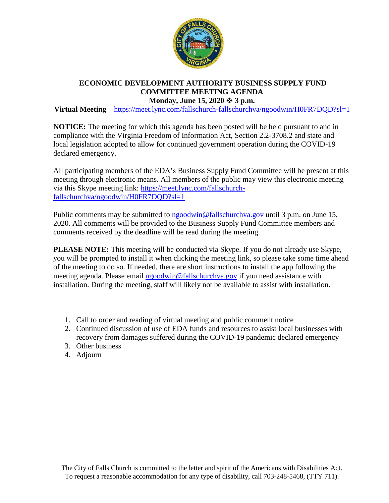

## **ECONOMIC DEVELOPMENT AUTHORITY BUSINESS SUPPLY FUND COMMITTEE MEETING AGENDA Monday, June 15, 2020 3 p.m.**

**Virtual Meeting –** <https://meet.lync.com/fallschurch-fallschurchva/ngoodwin/H0FR7DQD?sl=1>

**NOTICE:** The meeting for which this agenda has been posted will be held pursuant to and in compliance with the Virginia Freedom of Information Act, Section 2.2-3708.2 and state and local legislation adopted to allow for continued government operation during the COVID-19 declared emergency.

All participating members of the EDA's Business Supply Fund Committee will be present at this meeting through electronic means. All members of the public may view this electronic meeting via this Skype meeting link: [https://meet.lync.com/fallschurch](https://meet.lync.com/fallschurch-fallschurchva/ngoodwin/H0FR7DQD?sl=1)[fallschurchva/ngoodwin/H0FR7DQD?sl=1](https://meet.lync.com/fallschurch-fallschurchva/ngoodwin/H0FR7DQD?sl=1)

Public comments may be submitted to  $n \cdot \frac{1}{2}$  mg/magnetic multiple points are 15, 2020. All comments will be provided to the Business Supply Fund Committee members and comments received by the deadline will be read during the meeting.

**PLEASE NOTE:** This meeting will be conducted via Skype. If you do not already use Skype, you will be prompted to install it when clicking the meeting link, so please take some time ahead of the meeting to do so. If needed, there are short instructions to install the app following the meeting agenda. Please email [ngoodwin@fallschurchva.gov](mailto:ngoodwin@fallschurchva.gov) if you need assistance with installation. During the meeting, staff will likely not be available to assist with installation.

- 1. Call to order and reading of virtual meeting and public comment notice
- 2. Continued discussion of use of EDA funds and resources to assist local businesses with recovery from damages suffered during the COVID-19 pandemic declared emergency
- 3. Other business
- 4. Adjourn